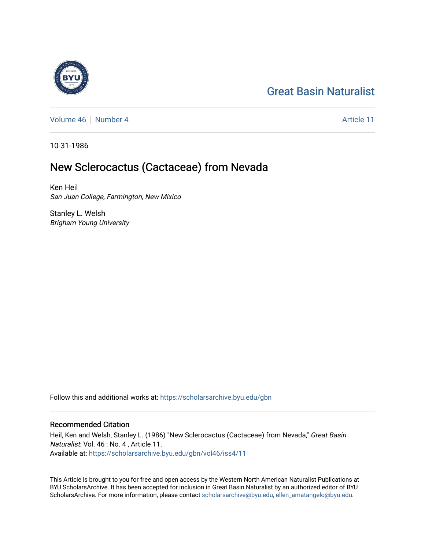# [Great Basin Naturalist](https://scholarsarchive.byu.edu/gbn)

[Volume 46](https://scholarsarchive.byu.edu/gbn/vol46) [Number 4](https://scholarsarchive.byu.edu/gbn/vol46/iss4) Article 11

10-31-1986

# New Sclerocactus (Cactaceae) from Nevada

Ken Heil San Juan College, Farmington, New Mixico

Stanley L. Welsh Brigham Young University

Follow this and additional works at: [https://scholarsarchive.byu.edu/gbn](https://scholarsarchive.byu.edu/gbn?utm_source=scholarsarchive.byu.edu%2Fgbn%2Fvol46%2Fiss4%2F11&utm_medium=PDF&utm_campaign=PDFCoverPages) 

### Recommended Citation

Heil, Ken and Welsh, Stanley L. (1986) "New Sclerocactus (Cactaceae) from Nevada," Great Basin Naturalist: Vol. 46 : No. 4 , Article 11. Available at: [https://scholarsarchive.byu.edu/gbn/vol46/iss4/11](https://scholarsarchive.byu.edu/gbn/vol46/iss4/11?utm_source=scholarsarchive.byu.edu%2Fgbn%2Fvol46%2Fiss4%2F11&utm_medium=PDF&utm_campaign=PDFCoverPages) 

This Article is brought to you for free and open access by the Western North American Naturalist Publications at BYU ScholarsArchive. It has been accepted for inclusion in Great Basin Naturalist by an authorized editor of BYU ScholarsArchive. For more information, please contact [scholarsarchive@byu.edu, ellen\\_amatangelo@byu.edu.](mailto:scholarsarchive@byu.edu,%20ellen_amatangelo@byu.edu)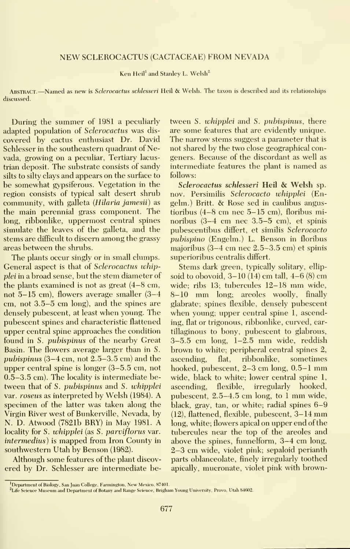#### NEW SCLEROCACTUS (CACTACEAE) FROM NEVADA

Ken Heil<sup>1</sup> and Stanley L. Welsh<sup>2</sup>

ABSTRACT.—Named as new is *Sclerocactus schlesseri* Heil & Welsh. The taxon is described and its relationships discussed.

During the summer of 1981 a peculiarly adapted population of Sclerocactus was dis covered by cactus enthusiast Dr. David Schlesser in the southeastern quadrant of Nevada, growing on a peculiar, Tertiary lacustrian deposit. The substrate consists of sandy silts to silty clays and appears on the surface to be somewhat gypsiferous. Vegetation in the region consists of typical salt desert shrub community, with galleta (*Hilaria jamesii*) as the main perennial grass component. The long, ribbonlike, uppermost central spines simulate the leaves of the galleta, and the stems are difficult to discern among the grassy areas between the shrubs.

The plants occur singly or in small clumps. General aspect is that of Sclerocactus whipplei in a broad sense, but the stem diameter of the plants examined is not as great (4-8 cm, not 5-15 cm), flowers average smaller (3-4 cm, not 3.5-5 cm long), and the spines are densely pubescent, at least when young. The pubescent spines and characteristic flattened upper central spine approaches the condition found in S. pubispinus of the nearby Great Basin. The flowers average larger than in S. pubispinus (3-4 cm, not 2.5-3.5 cm) and the upper central spine is longer (3-5.5 cm, not 0.5-3.5 cm). The locality is intermediate be tween that of S. pubispinus and S. whipplei var. roseus as interpreted by Welsh (1984). A specimen of the latter was taken along the Virgin River west of Bunkerville, Nevada, by N. D. Atwood (7821b BRY) in May 1981. A locality for S. whipplei (as S. parviflorus var. intermedius) is mapped from Iron County in southwestern Utah by Benson (1982).

Although some features of the plant discov ered by Dr. Schlesser are intermediate be-

tween S. whipplei and S. pubispinus, there are some features that are evidently unique. The narrow stems suggest a parameter that is not shared by the two close geographical congeners. Because of the discordant as well as intermediate features the plant is named as follows:

Sclerocactus schlesseri Heil & Welsh sp. nov. Persimilis Sclerocacto whipplei (Engelm.) Britt. & Rose sed in caulibus angustioribus (4-8 cm nee 5-15 cm), floribus minoribus (3-4 cm nee 3.5-5 cm), et spinis pubescentibus differt, et similis Sclerocacto pubispino (Engelm.) L. Benson in floribus majoribus (3-4 cm nee 2.5-3.5 cm) et spinis superioribus centralis differt.

Stems dark green, typically solitary, ellip soid to obovoid,  $3-10(14)$  cm tall,  $4-6(8)$  cm wide; ribs 13; tubercules 12-18 mm wide, 8-10 mm long; areoles woolly, finally glabrate; spines flexible, densely pubescent when young; upper central spine 1, ascending, flat or trigonous, ribbonlike, curved, car tillaginous to bony, pubescent to glabrous, 3-5.5 cm long, 1-2.5 mm wide, reddish brown to white; peripheral central spines 2, flat, ribbonlike, sometimes hooked, pubescent, 2-3 cm long, 0.5-1 mm wide, black to white; lower central spine 1, ascending, flexible, irregularly hooked, pubescent, 2.5-4.5 cm long, to <sup>1</sup> mm wide, black, gray, tan, or white; radial spines 6-9 (12), flattened, flexible, pubescent, 3-14 mm long, white; flowers apical on upper end of the tubercules near the top of the areoles and above the spines, funnelform, 3-4 cm long, 2-3 cm wide, violet pink; sepaloid perianth parts oblanceolate, finely irregularly toothed apically, mucronate, violet pink with brown-

<sup>&</sup>lt;sup>1</sup>Department of Biology, San Juan College, Farmington, New Mexico, 87401.

<sup>&</sup>lt;sup>2</sup>Life Science Museum and Department of Botany and Range Science, Brigham Young University, Provo, Utah 84602.